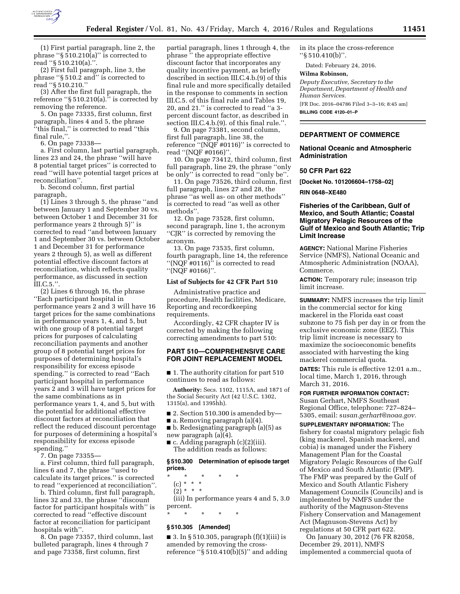

(1) First partial paragraph, line 2, the phrase ''§ 510.210(a)'' is corrected to read ''§ 510.210(a).''.

(2) First full paragraph, line 3, the phrase ''§ 510.2 and'' is corrected to read ''§ 510.210.''

(3) After the first full paragraph, the reference ''§ 510.210(a).'' is corrected by removing the reference.

5. On page 73335, first column, first paragraph, lines 4 and 5, the phrase ''this final,'' is corrected to read ''this final rule,''.

6. On page 73338—

a. First column, last partial paragraph, lines 23 and 24, the phrase ''will have 8 potential target prices'' is corrected to read ''will have potential target prices at reconciliation''.

b. Second column, first partial paragraph,

(1) Lines 3 through 5, the phrase ''and between January 1 and September 30 vs. between October 1 and December 31 for performance years 2 through 5)'' is corrected to read ''and between January 1 and September 30 vs. between October 1 and December 31 for performance years 2 through 5), as well as different potential effective discount factors at reconciliation, which reflects quality performance, as discussed in section III.C.5.''.

(2) Lines 6 through 16, the phrase ''Each participant hospital in performance years 2 and 3 will have 16 target prices for the same combinations in performance years 1, 4, and 5, but with one group of 8 potential target prices for purposes of calculating reconciliation payments and another group of 8 potential target prices for purposes of determining hospital's responsibility for excess episode spending.'' is corrected to read ''Each participant hospital in performance years 2 and 3 will have target prices for the same combinations as in performance years 1, 4, and 5, but with the potential for additional effective discount factors at reconciliation that reflect the reduced discount percentage for purposes of determining a hospital's responsibility for excess episode spending.''

7. On page 73355—

a. First column, third full paragraph, lines 6 and 7, the phrase ''used to calculate its target prices.'' is corrected to read ''experienced at reconciliation''.

b. Third column, first full paragraph, lines 32 and 33, the phrase ''discount factor for participant hospitals with'' is corrected to read ''effective discount factor at reconciliation for participant hospitals with''.

8. On page 73357, third column, last bulleted paragraph, lines 4 through 7 and page 73358, first column, first

partial paragraph, lines 1 through 4, the phrase '' the appropriate effective discount factor that incorporates any quality incentive payment, as briefly described in section III.C.4.b.(9) of this final rule and more specifically detailed in the response to comments in section III.C.5. of this final rule and Tables 19, 20, and 21.'' is corrected to read ''a 3 percent discount factor, as described in section III.C.4.b.(9). of this final rule.''.

9. On page 73381, second column, first full paragraph, line 38, the reference ''(NQF #0116)'' is corrected to read ''(NQF #0166)''.

10. On page 73412, third column, first full paragraph, line 29, the phrase ''only be only'' is corrected to read ''only be''.

11. On page 73526, third column, first full paragraph, lines 27 and 28, the phrase ''as well as- on other methods'' is corrected to read ''as well as other methods''.

12. On page 73528, first column, second paragraph, line 1, the acronym ''CJR'' is corrected by removing the acronym.

13. On page 73535, first column, fourth paragraph, line 14, the reference ''(NQF #0116)'' is corrected to read ''(NQF #0166)''.

### **List of Subjects for 42 CFR Part 510**

Administrative practice and procedure, Health facilities, Medicare, Reporting and recordkeeping requirements.

Accordingly, 42 CFR chapter IV is corrected by making the following correcting amendments to part 510:

## **PART 510—COMPREHENSIVE CARE FOR JOINT REPLACEMENT MODEL**

■ 1. The authority citation for part 510 continues to read as follows:

**Authority:** Secs. 1102, 1115A, and 1871 of the Social Security Act (42 U.S.C. 1302, 1315(a), and 1395hh).

■ 2. Section 510.300 is amended by—

■ a. Removing paragraph (a)(4).

■ b. Redesignating paragraph (a)(5) as new paragraph (a)(4).

■ c. Adding paragraph (c)(2)(iii). The addition reads as follows:

## **§ 510.300 Determination of episode target prices.**

\* \* \* \* \*

- (c) \* \* \*  $(2) * * * *$
- 

(iii) In performance years 4 and 5, 3.0 percent.

\* \* \* \* \*

## **§ 510.305 [Amended]**

■ 3. In § 510.305, paragraph (f)(1)(iii) is amended by removing the crossreference ''§ 510.410(b)(5)'' and adding in its place the cross-reference ''§ 510.410(b)''.

Dated: February 24, 2016.

## **Wilma Robinson,**

*Deputy Executive, Secretary to the Department, Department of Health and Human Services.*  [FR Doc. 2016–04786 Filed 3–3–16; 8:45 am]

**BILLING CODE 4120–01–P** 

## **DEPARTMENT OF COMMERCE**

**National Oceanic and Atmospheric Administration** 

# **50 CFR Part 622**

**[Docket No. 101206604–1758–02]** 

**RIN 0648–XE480** 

## **Fisheries of the Caribbean, Gulf of Mexico, and South Atlantic; Coastal Migratory Pelagic Resources of the Gulf of Mexico and South Atlantic; Trip Limit Increase**

**AGENCY:** National Marine Fisheries Service (NMFS), National Oceanic and Atmospheric Administration (NOAA), Commerce.

**ACTION:** Temporary rule; inseason trip limit increase.

**SUMMARY:** NMFS increases the trip limit in the commercial sector for king mackerel in the Florida east coast subzone to 75 fish per day in or from the exclusive economic zone (EEZ). This trip limit increase is necessary to maximize the socioeconomic benefits associated with harvesting the king mackerel commercial quota.

**DATES:** This rule is effective 12:01 a.m., local time, March 1, 2016, through March 31, 2016.

**FOR FURTHER INFORMATION CONTACT:**  Susan Gerhart, NMFS Southeast Regional Office, telephone: 727–824– 5305, email: s*usan[.gerhart@noaa.gov.](mailto:gerhart@noaa.gov)* 

**SUPPLEMENTARY INFORMATION:** The fishery for coastal migratory pelagic fish (king mackerel, Spanish mackerel, and cobia) is managed under the Fishery Management Plan for the Coastal Migratory Pelagic Resources of the Gulf of Mexico and South Atlantic (FMP). The FMP was prepared by the Gulf of Mexico and South Atlantic Fishery Management Councils (Councils) and is implemented by NMFS under the authority of the Magnuson-Stevens Fishery Conservation and Management Act (Magnuson-Stevens Act) by regulations at 50 CFR part 622.

On January 30, 2012 (76 FR 82058, December 29, 2011), NMFS implemented a commercial quota of